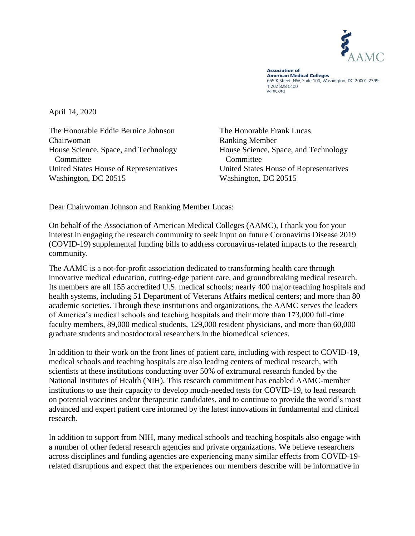

**Association of American Medical Colleges** 655 K Street, NW, Suite 100, Washington, DC 20001-2399 T 202 828 0400 aamc.org

April 14, 2020

The Honorable Eddie Bernice Johnson Chairwoman House Science, Space, and Technology **Committee** United States House of Representatives Washington, DC 20515

The Honorable Frank Lucas Ranking Member House Science, Space, and Technology **Committee** United States House of Representatives Washington, DC 20515

Dear Chairwoman Johnson and Ranking Member Lucas:

On behalf of the Association of American Medical Colleges (AAMC), I thank you for your interest in engaging the research community to seek input on future Coronavirus Disease 2019 (COVID-19) supplemental funding bills to address coronavirus-related impacts to the research community.

The AAMC is a not-for-profit association dedicated to transforming health care through innovative medical education, cutting-edge patient care, and groundbreaking medical research. Its members are all 155 accredited U.S. medical schools; nearly 400 major teaching hospitals and health systems, including 51 Department of Veterans Affairs medical centers; and more than 80 academic societies. Through these institutions and organizations, the AAMC serves the leaders of America's medical schools and teaching hospitals and their more than 173,000 full-time faculty members, 89,000 medical students, 129,000 resident physicians, and more than 60,000 graduate students and postdoctoral researchers in the biomedical sciences.

In addition to their work on the front lines of patient care, including with respect to COVID-19, medical schools and teaching hospitals are also leading centers of medical research, with scientists at these institutions conducting over 50% of extramural research funded by the National Institutes of Health (NIH). This research commitment has enabled AAMC-member institutions to use their capacity to develop much-needed tests for COVID-19, to lead research on potential vaccines and/or therapeutic candidates, and to continue to provide the world's most advanced and expert patient care informed by the latest innovations in fundamental and clinical research.

In addition to support from NIH, many medical schools and teaching hospitals also engage with a number of other federal research agencies and private organizations. We believe researchers across disciplines and funding agencies are experiencing many similar effects from COVID-19 related disruptions and expect that the experiences our members describe will be informative in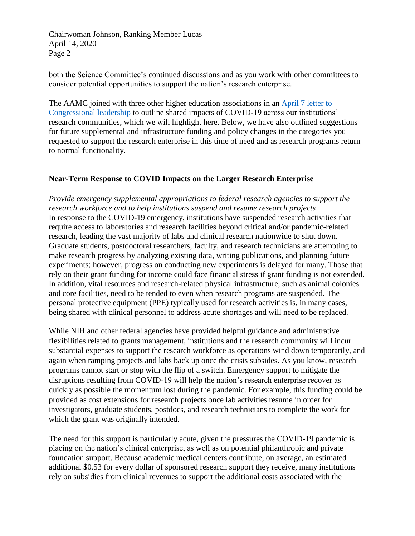both the Science Committee's continued discussions and as you work with other committees to consider potential opportunities to support the nation's research enterprise.

The AAMC joined with three other higher education associations in an [April 7 letter to](https://www.aamc.org/system/files/2020-04/ocomm-ogr-AAU-AAMC-APLU-ACE%20COVID19%20Research%20Recommendations%204-7-204_0.pdf)  [Congressional leadership](https://www.aamc.org/system/files/2020-04/ocomm-ogr-AAU-AAMC-APLU-ACE%20COVID19%20Research%20Recommendations%204-7-204_0.pdf) to outline shared impacts of COVID-19 across our institutions' research communities, which we will highlight here. Below, we have also outlined suggestions for future supplemental and infrastructure funding and policy changes in the categories you requested to support the research enterprise in this time of need and as research programs return to normal functionality.

# **Near-Term Response to COVID Impacts on the Larger Research Enterprise**

*Provide emergency supplemental appropriations to federal research agencies to support the research workforce and to help institutions suspend and resume research projects* In response to the COVID-19 emergency, institutions have suspended research activities that require access to laboratories and research facilities beyond critical and/or pandemic-related research, leading the vast majority of labs and clinical research nationwide to shut down. Graduate students, postdoctoral researchers, faculty, and research technicians are attempting to make research progress by analyzing existing data, writing publications, and planning future experiments; however, progress on conducting new experiments is delayed for many. Those that rely on their grant funding for income could face financial stress if grant funding is not extended. In addition, vital resources and research-related physical infrastructure, such as animal colonies and core facilities, need to be tended to even when research programs are suspended. The personal protective equipment (PPE) typically used for research activities is, in many cases, being shared with clinical personnel to address acute shortages and will need to be replaced.

While NIH and other federal agencies have provided helpful guidance and administrative flexibilities related to grants management, institutions and the research community will incur substantial expenses to support the research workforce as operations wind down temporarily, and again when ramping projects and labs back up once the crisis subsides. As you know, research programs cannot start or stop with the flip of a switch. Emergency support to mitigate the disruptions resulting from COVID-19 will help the nation's research enterprise recover as quickly as possible the momentum lost during the pandemic. For example, this funding could be provided as cost extensions for research projects once lab activities resume in order for investigators, graduate students, postdocs, and research technicians to complete the work for which the grant was originally intended.

The need for this support is particularly acute, given the pressures the COVID-19 pandemic is placing on the nation's clinical enterprise, as well as on potential philanthropic and private foundation support. Because academic medical centers contribute, on average, an estimated additional \$0.53 for every dollar of sponsored research support they receive, many institutions rely on subsidies from clinical revenues to support the additional costs associated with the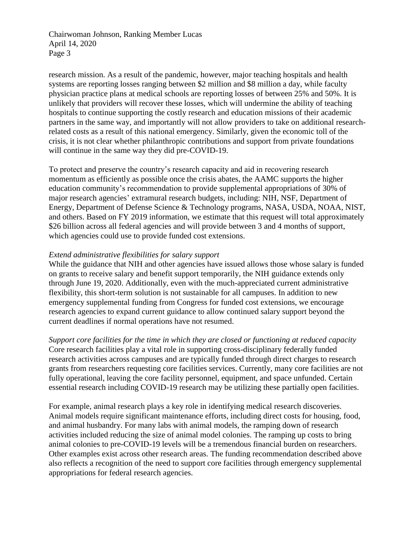research mission. As a result of the pandemic, however, major teaching hospitals and health systems are reporting losses ranging between \$2 million and \$8 million a day, while faculty physician practice plans at medical schools are reporting losses of between 25% and 50%. It is unlikely that providers will recover these losses, which will undermine the ability of teaching hospitals to continue supporting the costly research and education missions of their academic partners in the same way, and importantly will not allow providers to take on additional researchrelated costs as a result of this national emergency. Similarly, given the economic toll of the crisis, it is not clear whether philanthropic contributions and support from private foundations will continue in the same way they did pre-COVID-19.

To protect and preserve the country's research capacity and aid in recovering research momentum as efficiently as possible once the crisis abates, the AAMC supports the higher education community's recommendation to provide supplemental appropriations of 30% of major research agencies' extramural research budgets, including: NIH, NSF, Department of Energy, Department of Defense Science & Technology programs, NASA, USDA, NOAA, NIST, and others. Based on FY 2019 information, we estimate that this request will total approximately \$26 billion across all federal agencies and will provide between 3 and 4 months of support, which agencies could use to provide funded cost extensions.

## *Extend administrative flexibilities for salary support*

While the guidance that NIH and other agencies have issued allows those whose salary is funded on grants to receive salary and benefit support temporarily, the NIH guidance extends only through June 19, 2020. Additionally, even with the much-appreciated current administrative flexibility, this short-term solution is not sustainable for all campuses. In addition to new emergency supplemental funding from Congress for funded cost extensions, we encourage research agencies to expand current guidance to allow continued salary support beyond the current deadlines if normal operations have not resumed.

*Support core facilities for the time in which they are closed or functioning at reduced capacity* Core research facilities play a vital role in supporting cross-disciplinary federally funded research activities across campuses and are typically funded through direct charges to research grants from researchers requesting core facilities services. Currently, many core facilities are not fully operational, leaving the core facility personnel, equipment, and space unfunded. Certain essential research including COVID-19 research may be utilizing these partially open facilities.

For example, animal research plays a key role in identifying medical research discoveries. Animal models require significant maintenance efforts, including direct costs for housing, food, and animal husbandry. For many labs with animal models, the ramping down of research activities included reducing the size of animal model colonies. The ramping up costs to bring animal colonies to pre-COVID-19 levels will be a tremendous financial burden on researchers. Other examples exist across other research areas. The funding recommendation described above also reflects a recognition of the need to support core facilities through emergency supplemental appropriations for federal research agencies.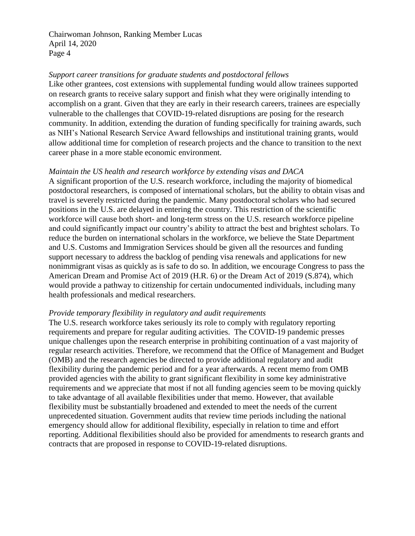## *Support career transitions for graduate students and postdoctoral fellows*

Like other grantees, cost extensions with supplemental funding would allow trainees supported on research grants to receive salary support and finish what they were originally intending to accomplish on a grant. Given that they are early in their research careers, trainees are especially vulnerable to the challenges that COVID-19-related disruptions are posing for the research community. In addition, extending the duration of funding specifically for training awards, such as NIH's National Research Service Award fellowships and institutional training grants, would allow additional time for completion of research projects and the chance to transition to the next career phase in a more stable economic environment.

## *Maintain the US health and research workforce by extending visas and DACA*

A significant proportion of the U.S. research workforce, including the majority of biomedical postdoctoral researchers, is composed of international scholars, but the ability to obtain visas and travel is severely restricted during the pandemic. Many postdoctoral scholars who had secured positions in the U.S. are delayed in entering the country. This restriction of the scientific workforce will cause both short- and long-term stress on the U.S. research workforce pipeline and could significantly impact our country's ability to attract the best and brightest scholars. To reduce the burden on international scholars in the workforce, we believe the State Department and U.S. Customs and Immigration Services should be given all the resources and funding support necessary to address the backlog of pending visa renewals and applications for new nonimmigrant visas as quickly as is safe to do so. In addition, we encourage Congress to pass the American Dream and Promise Act of 2019 (H.R. 6) or the Dream Act of 2019 (S.874), which would provide a pathway to citizenship for certain undocumented individuals, including many health professionals and medical researchers.

### *Provide temporary flexibility in regulatory and audit requirements*

The U.S. research workforce takes seriously its role to comply with regulatory reporting requirements and prepare for regular auditing activities. The COVID-19 pandemic presses unique challenges upon the research enterprise in prohibiting continuation of a vast majority of regular research activities. Therefore, we recommend that the Office of Management and Budget (OMB) and the research agencies be directed to provide additional regulatory and audit flexibility during the pandemic period and for a year afterwards. A recent memo from OMB provided agencies with the ability to grant significant flexibility in some key administrative requirements and we appreciate that most if not all funding agencies seem to be moving quickly to take advantage of all available flexibilities under that memo. However, that available flexibility must be substantially broadened and extended to meet the needs of the current unprecedented situation. Government audits that review time periods including the national emergency should allow for additional flexibility, especially in relation to time and effort reporting. Additional flexibilities should also be provided for amendments to research grants and contracts that are proposed in response to COVID-19-related disruptions.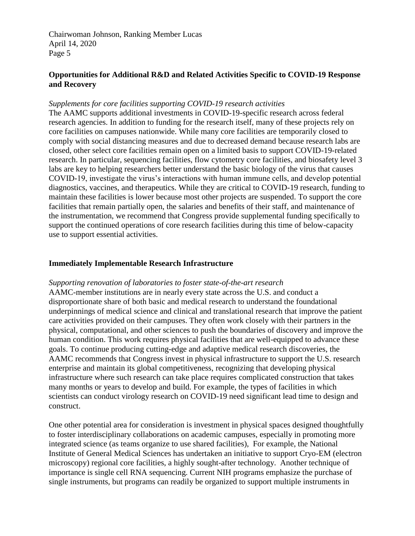# **Opportunities for Additional R&D and Related Activities Specific to COVID-19 Response and Recovery**

#### *Supplements for core facilities supporting COVID-19 research activities*

The AAMC supports additional investments in COVID-19-specific research across federal research agencies. In addition to funding for the research itself, many of these projects rely on core facilities on campuses nationwide. While many core facilities are temporarily closed to comply with social distancing measures and due to decreased demand because research labs are closed, other select core facilities remain open on a limited basis to support COVID-19-related research. In particular, sequencing facilities, flow cytometry core facilities, and biosafety level 3 labs are key to helping researchers better understand the basic biology of the virus that causes COVID-19, investigate the virus's interactions with human immune cells, and develop potential diagnostics, vaccines, and therapeutics. While they are critical to COVID-19 research, funding to maintain these facilities is lower because most other projects are suspended. To support the core facilities that remain partially open, the salaries and benefits of their staff, and maintenance of the instrumentation, we recommend that Congress provide supplemental funding specifically to support the continued operations of core research facilities during this time of below-capacity use to support essential activities.

#### **Immediately Implementable Research Infrastructure**

#### *Supporting renovation of laboratories to foster state-of-the-art research*

AAMC-member institutions are in nearly every state across the U.S. and conduct a disproportionate share of both basic and medical research to understand the foundational underpinnings of medical science and clinical and translational research that improve the patient care activities provided on their campuses. They often work closely with their partners in the physical, computational, and other sciences to push the boundaries of discovery and improve the human condition. This work requires physical facilities that are well-equipped to advance these goals. To continue producing cutting-edge and adaptive medical research discoveries, the AAMC recommends that Congress invest in physical infrastructure to support the U.S. research enterprise and maintain its global competitiveness, recognizing that developing physical infrastructure where such research can take place requires complicated construction that takes many months or years to develop and build. For example, the types of facilities in which scientists can conduct virology research on COVID-19 need significant lead time to design and construct.

One other potential area for consideration is investment in physical spaces designed thoughtfully to foster interdisciplinary collaborations on academic campuses, especially in promoting more integrated science (as teams organize to use shared facilities), For example, the National Institute of General Medical Sciences has undertaken an initiative to support Cryo-EM (electron microscopy) regional core facilities, a highly sought-after technology. Another technique of importance is single cell RNA sequencing. Current NIH programs emphasize the purchase of single instruments, but programs can readily be organized to support multiple instruments in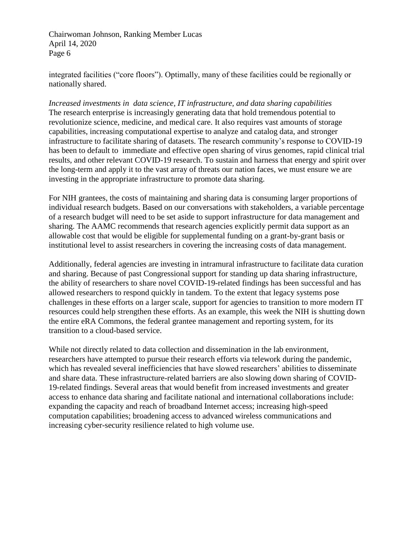integrated facilities ("core floors"). Optimally, many of these facilities could be regionally or nationally shared.

*Increased investments in data science, IT infrastructure, and data sharing capabilities* The research enterprise is increasingly generating data that hold tremendous potential to revolutionize science, medicine, and medical care. It also requires vast amounts of storage capabilities, increasing computational expertise to analyze and catalog data, and stronger infrastructure to facilitate sharing of datasets. The research community's response to COVID-19 has been to default to immediate and effective open sharing of virus genomes, rapid clinical trial results, and other relevant COVID-19 research. To sustain and harness that energy and spirit over the long-term and apply it to the vast array of threats our nation faces, we must ensure we are investing in the appropriate infrastructure to promote data sharing.

For NIH grantees, the costs of maintaining and sharing data is consuming larger proportions of individual research budgets. Based on our conversations with stakeholders, a variable percentage of a research budget will need to be set aside to support infrastructure for data management and sharing. The AAMC recommends that research agencies explicitly permit data support as an allowable cost that would be eligible for supplemental funding on a grant-by-grant basis or institutional level to assist researchers in covering the increasing costs of data management.

Additionally, federal agencies are investing in intramural infrastructure to facilitate data curation and sharing. Because of past Congressional support for standing up data sharing infrastructure, the ability of researchers to share novel COVID-19-related findings has been successful and has allowed researchers to respond quickly in tandem. To the extent that legacy systems pose challenges in these efforts on a larger scale, support for agencies to transition to more modern IT resources could help strengthen these efforts. As an example, this week the NIH is shutting down the entire eRA Commons, the federal grantee management and reporting system, for its transition to a cloud-based service.

While not directly related to data collection and dissemination in the lab environment, researchers have attempted to pursue their research efforts via telework during the pandemic, which has revealed several inefficiencies that have slowed researchers' abilities to disseminate and share data. These infrastructure-related barriers are also slowing down sharing of COVID-19-related findings. Several areas that would benefit from increased investments and greater access to enhance data sharing and facilitate national and international collaborations include: expanding the capacity and reach of broadband Internet access; increasing high-speed computation capabilities; broadening access to advanced wireless communications and increasing cyber-security resilience related to high volume use.